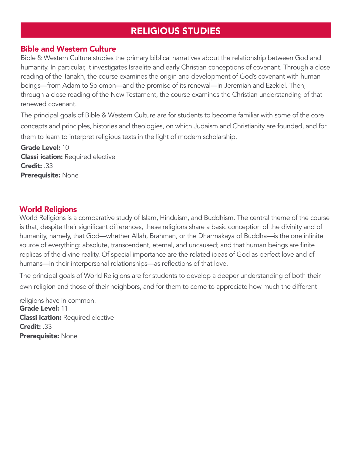## RELIGIOUS STUDIES

## Bible and Western Culture

Bible & Western Culture studies the primary biblical narratives about the relationship between God and humanity. In particular, it investigates Israelite and early Christian conceptions of covenant. Through a close reading of the Tanakh, the course examines the origin and development of God's covenant with human beings—from Adam to Solomon—and the promise of its renewal—in Jeremiah and Ezekiel. Then, through a close reading of the New Testament, the course examines the Christian understanding of that renewed covenant.

The principal goals of Bible & Western Culture are for students to become familiar with some of the core concepts and principles, histories and theologies, on which Judaism and Christianity are founded, and for them to learn to interpret religious texts in the light of modern scholarship.

Grade Level: 10 **Classi ication: Required elective** Credit: .33 Prerequisite: None

## World Religions

World Religions is a comparative study of Islam, Hinduism, and Buddhism. The central theme of the course is that, despite their significant differences, these religions share a basic conception of the divinity and of humanity, namely, that God—whether Allah, Brahman, or the Dharmakaya of Buddha—is the one infinite source of everything: absolute, transcendent, eternal, and uncaused; and that human beings are finite replicas of the divine reality. Of special importance are the related ideas of God as perfect love and of humans—in their interpersonal relationships—as reflections of that love.

The principal goals of World Religions are for students to develop a deeper understanding of both their own religion and those of their neighbors, and for them to come to appreciate how much the different

religions have in common. Grade Level: 11 **Classi ication: Required elective** Credit: .33 Prerequisite: None